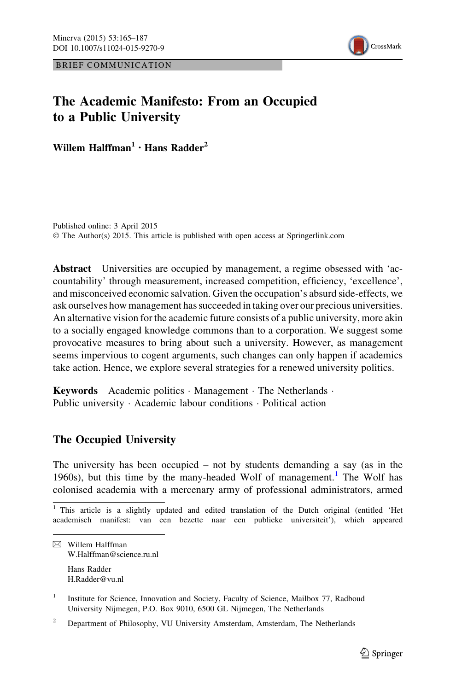BRIEF COMMUNICATION



# The Academic Manifesto: From an Occupied to a Public University

Willem Halffman<sup>1</sup> · Hans Radder<sup>2</sup>

Published online: 3 April 2015 © The Author(s) 2015. This article is published with open access at Springerlink.com

Abstract Universities are occupied by management, a regime obsessed with 'accountability' through measurement, increased competition, efficiency, 'excellence', and misconceived economic salvation. Given the occupation's absurd side-effects, we ask ourselves how management has succeeded in taking over our precious universities. An alternative vision for the academic future consists of a public university, more akin to a socially engaged knowledge commons than to a corporation. We suggest some provocative measures to bring about such a university. However, as management seems impervious to cogent arguments, such changes can only happen if academics take action. Hence, we explore several strategies for a renewed university politics.

Keywords Academic politics · Management · The Netherlands · Public university - Academic labour conditions - Political action

# The Occupied University

The university has been occupied – not by students demanding a say (as in the 1960s), but this time by the many-headed Wolf of management.<sup>1</sup> The Wolf has colonised academia with a mercenary army of professional administrators, armed

<sup>1</sup> This article is a slightly updated and edited translation of the Dutch original (entitled 'Het academisch manifest: van een bezette naar een publieke universiteit'), which appeared

 $\boxtimes$  Willem Halffman W.Halffman@science.ru.nl Hans Radder H.Radder@vu.nl

<sup>&</sup>lt;sup>1</sup> Institute for Science, Innovation and Society, Faculty of Science, Mailbox 77, Radboud University Nijmegen, P.O. Box 9010, 6500 GL Nijmegen, The Netherlands

<sup>&</sup>lt;sup>2</sup> Department of Philosophy, VU University Amsterdam, Amsterdam, The Netherlands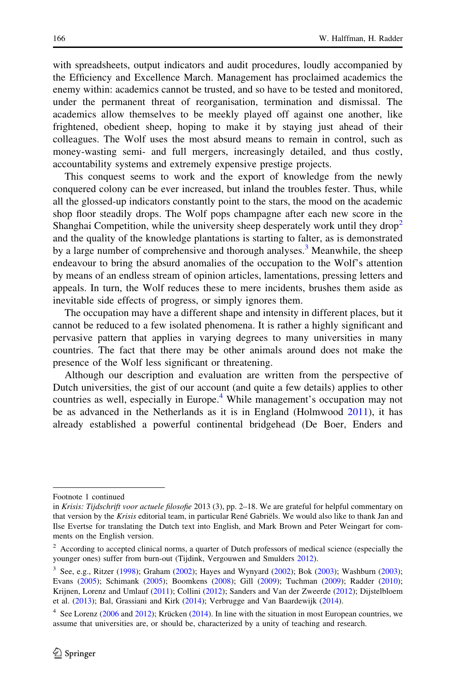with spreadsheets, output indicators and audit procedures, loudly accompanied by the Efficiency and Excellence March. Management has proclaimed academics the enemy within: academics cannot be trusted, and so have to be tested and monitored, under the permanent threat of reorganisation, termination and dismissal. The academics allow themselves to be meekly played off against one another, like frightened, obedient sheep, hoping to make it by staying just ahead of their colleagues. The Wolf uses the most absurd means to remain in control, such as money-wasting semi- and full mergers, increasingly detailed, and thus costly, accountability systems and extremely expensive prestige projects.

This conquest seems to work and the export of knowledge from the newly conquered colony can be ever increased, but inland the troubles fester. Thus, while all the glossed-up indicators constantly point to the stars, the mood on the academic shop floor steadily drops. The Wolf pops champagne after each new score in the Shanghai Competition, while the university sheep desperately work until they drop<sup>2</sup> and the quality of the knowledge plantations is starting to falter, as is demonstrated by a large number of comprehensive and thorough analyses.<sup>3</sup> Meanwhile, the sheep endeavour to bring the absurd anomalies of the occupation to the Wolf's attention by means of an endless stream of opinion articles, lamentations, pressing letters and appeals. In turn, the Wolf reduces these to mere incidents, brushes them aside as inevitable side effects of progress, or simply ignores them.

The occupation may have a different shape and intensity in different places, but it cannot be reduced to a few isolated phenomena. It is rather a highly significant and pervasive pattern that applies in varying degrees to many universities in many countries. The fact that there may be other animals around does not make the presence of the Wolf less significant or threatening.

Although our description and evaluation are written from the perspective of Dutch universities, the gist of our account (and quite a few details) applies to other countries as well, especially in Europe.<sup>4</sup> While management's occupation may not be as advanced in the Netherlands as it is in England (Holmwood [2011](#page-21-0)), it has already established a powerful continental bridgehead (De Boer, Enders and

Footnote 1 continued

in Krisis: Tijdschrift voor actuele filosofie 2013 (3), pp. 2–18. We are grateful for helpful commentary on that version by the Krisis editorial team, in particular René Gabriels. We would also like to thank Jan and Ilse Evertse for translating the Dutch text into English, and Mark Brown and Peter Weingart for comments on the English version.

<sup>&</sup>lt;sup>2</sup> According to accepted clinical norms, a quarter of Dutch professors of medical science (especially the younger ones) suffer from burn-out (Tijdink, Vergouwen and Smulders [2012](#page-22-0)).

 $3$  See, e.g., Ritzer [\(1998\)](#page-21-0); Graham [\(2002](#page-21-0)); Hayes and Wynyard (2002); Bok [\(2003](#page-20-0)); Washburn ([2003](#page-22-0)); Evans [\(2005](#page-21-0)); Schimank ([2005\)](#page-22-0); Boomkens ([2008\)](#page-20-0); Gill ([2009\)](#page-21-0); Tuchman ([2009\)](#page-22-0); Radder ([2010](#page-21-0)); Krijnen, Lorenz and Umlauf ([2011\)](#page-21-0); Collini [\(2012](#page-20-0)); Sanders and Van der Zweerde ([2012\)](#page-21-0); Dijstelbloem et al. ([2013](#page-21-0)); Bal, Grassiani and Kirk [\(2014](#page-20-0)); Verbrugge and Van Baardewijk ([2014\)](#page-22-0).

 $4$  See Lorenz ([2006](#page-21-0) and [2012](#page-21-0)); Krücken [\(2014\)](#page-21-0). In line with the situation in most European countries, we assume that universities are, or should be, characterized by a unity of teaching and research.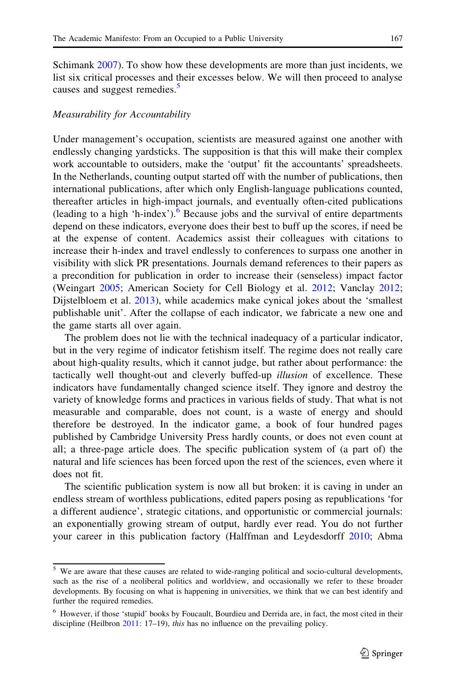Schimank [2007\)](#page-21-0). To show how these developments are more than just incidents, we list six critical processes and their excesses below. We will then proceed to analyse causes and suggest remedies.<sup>5</sup>

#### Measurability for Accountability

Under management's occupation, scientists are measured against one another with endlessly changing yardsticks. The supposition is that this will make their complex work accountable to outsiders, make the 'output' fit the accountants' spreadsheets. In the Netherlands, counting output started off with the number of publications, then international publications, after which only English-language publications counted, thereafter articles in high-impact journals, and eventually often-cited publications (leading to a high 'h-index'). $6$  Because jobs and the survival of entire departments depend on these indicators, everyone does their best to buff up the scores, if need be at the expense of content. Academics assist their colleagues with citations to increase their h-index and travel endlessly to conferences to surpass one another in visibility with slick PR presentations. Journals demand references to their papers as a precondition for publication in order to increase their (senseless) impact factor (Weingart [2005;](#page-22-0) American Society for Cell Biology et al. [2012;](#page-20-0) Vanclay [2012;](#page-22-0) Dijstelbloem et al. [2013\)](#page-21-0), while academics make cynical jokes about the 'smallest publishable unit'. After the collapse of each indicator, we fabricate a new one and the game starts all over again.

The problem does not lie with the technical inadequacy of a particular indicator, but in the very regime of indicator fetishism itself. The regime does not really care about high-quality results, which it cannot judge, but rather about performance: the tactically well thought-out and cleverly buffed-up *illusion* of excellence. These indicators have fundamentally changed science itself. They ignore and destroy the variety of knowledge forms and practices in various fields of study. That what is not measurable and comparable, does not count, is a waste of energy and should therefore be destroyed. In the indicator game, a book of four hundred pages published by Cambridge University Press hardly counts, or does not even count at all; a three-page article does. The specific publication system of (a part of) the natural and life sciences has been forced upon the rest of the sciences, even where it does not fit.

The scientific publication system is now all but broken: it is caving in under an endless stream of worthless publications, edited papers posing as republications 'for a different audience', strategic citations, and opportunistic or commercial journals: an exponentially growing stream of output, hardly ever read. You do not further your career in this publication factory (Halffman and Leydesdorff [2010](#page-21-0); Abma

<sup>5</sup> We are aware that these causes are related to wide-ranging political and socio-cultural developments, such as the rise of a neoliberal politics and worldview, and occasionally we refer to these broader developments. By focusing on what is happening in universities, we think that we can best identify and further the required remedies.

<sup>6</sup> However, if those 'stupid' books by Foucault, Bourdieu and Derrida are, in fact, the most cited in their discipline (Heilbron [2011](#page-21-0): 17-19), this has no influence on the prevailing policy.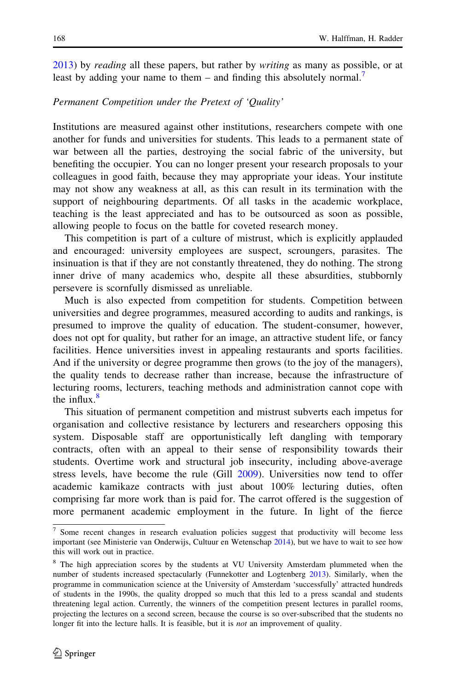[2013\)](#page-20-0) by reading all these papers, but rather by writing as many as possible, or at least by adding your name to them – and finding this absolutely normal.<sup>7</sup>

### Permanent Competition under the Pretext of 'Quality'

Institutions are measured against other institutions, researchers compete with one another for funds and universities for students. This leads to a permanent state of war between all the parties, destroying the social fabric of the university, but benefiting the occupier. You can no longer present your research proposals to your colleagues in good faith, because they may appropriate your ideas. Your institute may not show any weakness at all, as this can result in its termination with the support of neighbouring departments. Of all tasks in the academic workplace, teaching is the least appreciated and has to be outsourced as soon as possible, allowing people to focus on the battle for coveted research money.

This competition is part of a culture of mistrust, which is explicitly applauded and encouraged: university employees are suspect, scroungers, parasites. The insinuation is that if they are not constantly threatened, they do nothing. The strong inner drive of many academics who, despite all these absurdities, stubbornly persevere is scornfully dismissed as unreliable.

Much is also expected from competition for students. Competition between universities and degree programmes, measured according to audits and rankings, is presumed to improve the quality of education. The student-consumer, however, does not opt for quality, but rather for an image, an attractive student life, or fancy facilities. Hence universities invest in appealing restaurants and sports facilities. And if the university or degree programme then grows (to the joy of the managers), the quality tends to decrease rather than increase, because the infrastructure of lecturing rooms, lecturers, teaching methods and administration cannot cope with the influx. $8$ 

This situation of permanent competition and mistrust subverts each impetus for organisation and collective resistance by lecturers and researchers opposing this system. Disposable staff are opportunistically left dangling with temporary contracts, often with an appeal to their sense of responsibility towards their students. Overtime work and structural job insecurity, including above-average stress levels, have become the rule (Gill [2009\)](#page-21-0). Universities now tend to offer academic kamikaze contracts with just about 100% lecturing duties, often comprising far more work than is paid for. The carrot offered is the suggestion of more permanent academic employment in the future. In light of the fierce

<sup>7</sup> Some recent changes in research evaluation policies suggest that productivity will become less important (see Ministerie van Onderwijs, Cultuur en Wetenschap [2014](#page-21-0)), but we have to wait to see how this will work out in practice.

<sup>8</sup> The high appreciation scores by the students at VU University Amsterdam plummeted when the number of students increased spectacularly (Funnekotter and Logtenberg [2013](#page-21-0)). Similarly, when the programme in communication science at the University of Amsterdam 'successfully' attracted hundreds of students in the 1990s, the quality dropped so much that this led to a press scandal and students threatening legal action. Currently, the winners of the competition present lectures in parallel rooms, projecting the lectures on a second screen, because the course is so over-subscribed that the students no longer fit into the lecture halls. It is feasible, but it is *not* an improvement of quality.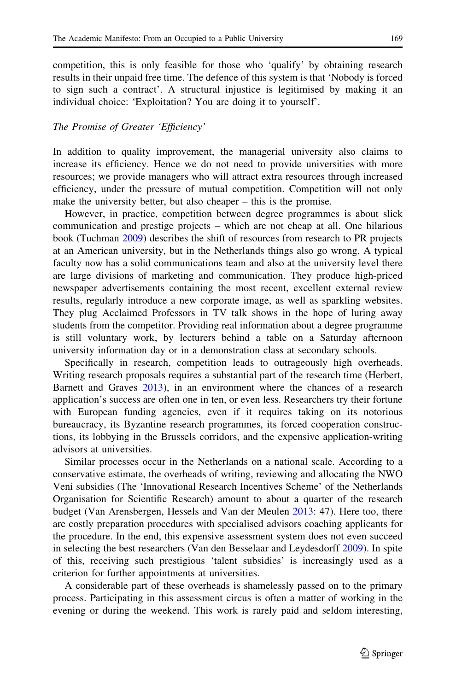competition, this is only feasible for those who 'qualify' by obtaining research results in their unpaid free time. The defence of this system is that 'Nobody is forced to sign such a contract'. A structural injustice is legitimised by making it an individual choice: 'Exploitation? You are doing it to yourself'.

#### The Promise of Greater 'Efficiency'

In addition to quality improvement, the managerial university also claims to increase its efficiency. Hence we do not need to provide universities with more resources; we provide managers who will attract extra resources through increased efficiency, under the pressure of mutual competition. Competition will not only make the university better, but also cheaper – this is the promise.

However, in practice, competition between degree programmes is about slick communication and prestige projects – which are not cheap at all. One hilarious book (Tuchman [2009\)](#page-22-0) describes the shift of resources from research to PR projects at an American university, but in the Netherlands things also go wrong. A typical faculty now has a solid communications team and also at the university level there are large divisions of marketing and communication. They produce high-priced newspaper advertisements containing the most recent, excellent external review results, regularly introduce a new corporate image, as well as sparkling websites. They plug Acclaimed Professors in TV talk shows in the hope of luring away students from the competitor. Providing real information about a degree programme is still voluntary work, by lecturers behind a table on a Saturday afternoon university information day or in a demonstration class at secondary schools.

Specifically in research, competition leads to outrageously high overheads. Writing research proposals requires a substantial part of the research time (Herbert, Barnett and Graves [2013](#page-21-0)), in an environment where the chances of a research application's success are often one in ten, or even less. Researchers try their fortune with European funding agencies, even if it requires taking on its notorious bureaucracy, its Byzantine research programmes, its forced cooperation constructions, its lobbying in the Brussels corridors, and the expensive application-writing advisors at universities.

Similar processes occur in the Netherlands on a national scale. According to a conservative estimate, the overheads of writing, reviewing and allocating the NWO Veni subsidies (The 'Innovational Research Incentives Scheme' of the Netherlands Organisation for Scientific Research) amount to about a quarter of the research budget (Van Arensbergen, Hessels and Van der Meulen [2013](#page-22-0): 47). Here too, there are costly preparation procedures with specialised advisors coaching applicants for the procedure. In the end, this expensive assessment system does not even succeed in selecting the best researchers (Van den Besselaar and Leydesdorff [2009](#page-22-0)). In spite of this, receiving such prestigious 'talent subsidies' is increasingly used as a criterion for further appointments at universities.

A considerable part of these overheads is shamelessly passed on to the primary process. Participating in this assessment circus is often a matter of working in the evening or during the weekend. This work is rarely paid and seldom interesting,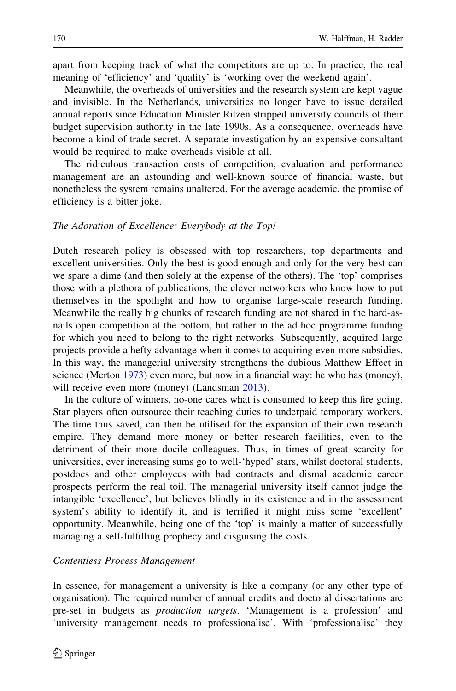apart from keeping track of what the competitors are up to. In practice, the real meaning of 'efficiency' and 'quality' is 'working over the weekend again'.

Meanwhile, the overheads of universities and the research system are kept vague and invisible. In the Netherlands, universities no longer have to issue detailed annual reports since Education Minister Ritzen stripped university councils of their budget supervision authority in the late 1990s. As a consequence, overheads have become a kind of trade secret. A separate investigation by an expensive consultant would be required to make overheads visible at all.

The ridiculous transaction costs of competition, evaluation and performance management are an astounding and well-known source of financial waste, but nonetheless the system remains unaltered. For the average academic, the promise of efficiency is a bitter joke.

#### The Adoration of Excellence: Everybody at the Top!

Dutch research policy is obsessed with top researchers, top departments and excellent universities. Only the best is good enough and only for the very best can we spare a dime (and then solely at the expense of the others). The 'top' comprises those with a plethora of publications, the clever networkers who know how to put themselves in the spotlight and how to organise large-scale research funding. Meanwhile the really big chunks of research funding are not shared in the hard-asnails open competition at the bottom, but rather in the ad hoc programme funding for which you need to belong to the right networks. Subsequently, acquired large projects provide a hefty advantage when it comes to acquiring even more subsidies. In this way, the managerial university strengthens the dubious Matthew Effect in science (Merton [1973\)](#page-21-0) even more, but now in a financial way: he who has (money), will receive even more (money) (Landsman [2013\)](#page-21-0).

In the culture of winners, no-one cares what is consumed to keep this fire going. Star players often outsource their teaching duties to underpaid temporary workers. The time thus saved, can then be utilised for the expansion of their own research empire. They demand more money or better research facilities, even to the detriment of their more docile colleagues. Thus, in times of great scarcity for universities, ever increasing sums go to well-'hyped' stars, whilst doctoral students, postdocs and other employees with bad contracts and dismal academic career prospects perform the real toil. The managerial university itself cannot judge the intangible 'excellence', but believes blindly in its existence and in the assessment system's ability to identify it, and is terrified it might miss some 'excellent' opportunity. Meanwhile, being one of the 'top' is mainly a matter of successfully managing a self-fulfilling prophecy and disguising the costs.

#### Contentless Process Management

In essence, for management a university is like a company (or any other type of organisation). The required number of annual credits and doctoral dissertations are pre-set in budgets as production targets. 'Management is a profession' and 'university management needs to professionalise'. With 'professionalise' they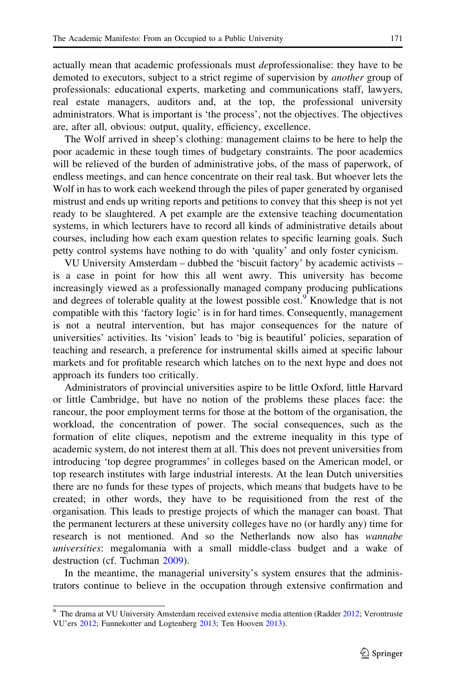actually mean that academic professionals must deprofessionalise: they have to be demoted to executors, subject to a strict regime of supervision by *another* group of professionals: educational experts, marketing and communications staff, lawyers,

real estate managers, auditors and, at the top, the professional university administrators. What is important is 'the process', not the objectives. The objectives are, after all, obvious: output, quality, efficiency, excellence.

The Wolf arrived in sheep's clothing: management claims to be here to help the poor academic in these tough times of budgetary constraints. The poor academics will be relieved of the burden of administrative jobs, of the mass of paperwork, of endless meetings, and can hence concentrate on their real task. But whoever lets the Wolf in has to work each weekend through the piles of paper generated by organised mistrust and ends up writing reports and petitions to convey that this sheep is not yet ready to be slaughtered. A pet example are the extensive teaching documentation systems, in which lecturers have to record all kinds of administrative details about courses, including how each exam question relates to specific learning goals. Such petty control systems have nothing to do with 'quality' and only foster cynicism.

VU University Amsterdam – dubbed the 'biscuit factory' by academic activists – is a case in point for how this all went awry. This university has become increasingly viewed as a professionally managed company producing publications and degrees of tolerable quality at the lowest possible cost.<sup>9</sup> Knowledge that is not compatible with this 'factory logic' is in for hard times. Consequently, management is not a neutral intervention, but has major consequences for the nature of universities' activities. Its 'vision' leads to 'big is beautiful' policies, separation of teaching and research, a preference for instrumental skills aimed at specific labour markets and for profitable research which latches on to the next hype and does not approach its funders too critically.

Administrators of provincial universities aspire to be little Oxford, little Harvard or little Cambridge, but have no notion of the problems these places face: the rancour, the poor employment terms for those at the bottom of the organisation, the workload, the concentration of power. The social consequences, such as the formation of elite cliques, nepotism and the extreme inequality in this type of academic system, do not interest them at all. This does not prevent universities from introducing 'top degree programmes' in colleges based on the American model, or top research institutes with large industrial interests. At the lean Dutch universities there are no funds for these types of projects, which means that budgets have to be created; in other words, they have to be requisitioned from the rest of the organisation. This leads to prestige projects of which the manager can boast. That the permanent lecturers at these university colleges have no (or hardly any) time for research is not mentioned. And so the Netherlands now also has wannabe universities: megalomania with a small middle-class budget and a wake of destruction (cf. Tuchman [2009\)](#page-22-0).

In the meantime, the managerial university's system ensures that the administrators continue to believe in the occupation through extensive confirmation and

 $9$  The drama at VU University Amsterdam received extensive media attention (Radder [2012;](#page-21-0) Verontruste VU'ers [2012;](#page-22-0) Funnekotter and Logtenberg [2013](#page-21-0); Ten Hooven [2013](#page-22-0)).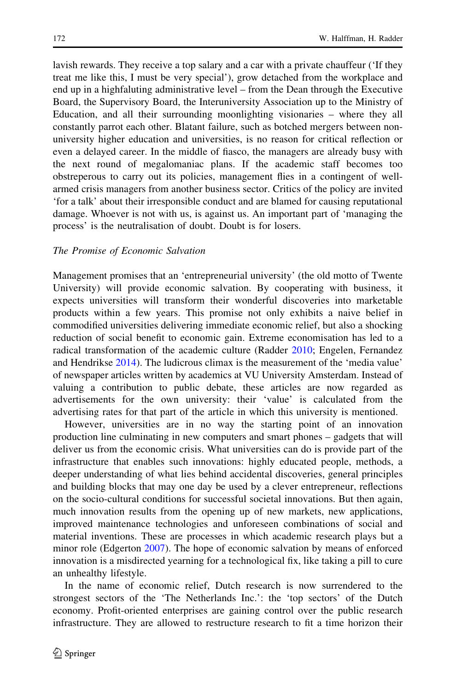lavish rewards. They receive a top salary and a car with a private chauffeur ('If they treat me like this, I must be very special'), grow detached from the workplace and end up in a highfaluting administrative level – from the Dean through the Executive Board, the Supervisory Board, the Interuniversity Association up to the Ministry of Education, and all their surrounding moonlighting visionaries – where they all constantly parrot each other. Blatant failure, such as botched mergers between nonuniversity higher education and universities, is no reason for critical reflection or even a delayed career. In the middle of fiasco, the managers are already busy with the next round of megalomaniac plans. If the academic staff becomes too obstreperous to carry out its policies, management flies in a contingent of wellarmed crisis managers from another business sector. Critics of the policy are invited 'for a talk' about their irresponsible conduct and are blamed for causing reputational damage. Whoever is not with us, is against us. An important part of 'managing the process' is the neutralisation of doubt. Doubt is for losers.

#### The Promise of Economic Salvation

Management promises that an 'entrepreneurial university' (the old motto of Twente University) will provide economic salvation. By cooperating with business, it expects universities will transform their wonderful discoveries into marketable products within a few years. This promise not only exhibits a naive belief in commodified universities delivering immediate economic relief, but also a shocking reduction of social benefit to economic gain. Extreme economisation has led to a radical transformation of the academic culture (Radder [2010](#page-21-0); Engelen, Fernandez and Hendrikse [2014\)](#page-21-0). The ludicrous climax is the measurement of the 'media value' of newspaper articles written by academics at VU University Amsterdam. Instead of valuing a contribution to public debate, these articles are now regarded as advertisements for the own university: their 'value' is calculated from the advertising rates for that part of the article in which this university is mentioned.

However, universities are in no way the starting point of an innovation production line culminating in new computers and smart phones – gadgets that will deliver us from the economic crisis. What universities can do is provide part of the infrastructure that enables such innovations: highly educated people, methods, a deeper understanding of what lies behind accidental discoveries, general principles and building blocks that may one day be used by a clever entrepreneur, reflections on the socio-cultural conditions for successful societal innovations. But then again, much innovation results from the opening up of new markets, new applications, improved maintenance technologies and unforeseen combinations of social and material inventions. These are processes in which academic research plays but a minor role (Edgerton [2007](#page-21-0)). The hope of economic salvation by means of enforced innovation is a misdirected yearning for a technological fix, like taking a pill to cure an unhealthy lifestyle.

In the name of economic relief, Dutch research is now surrendered to the strongest sectors of the 'The Netherlands Inc.': the 'top sectors' of the Dutch economy. Profit-oriented enterprises are gaining control over the public research infrastructure. They are allowed to restructure research to fit a time horizon their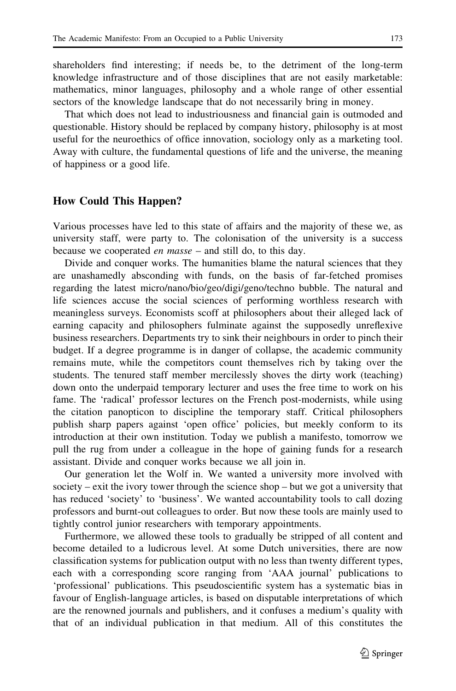shareholders find interesting; if needs be, to the detriment of the long-term knowledge infrastructure and of those disciplines that are not easily marketable: mathematics, minor languages, philosophy and a whole range of other essential sectors of the knowledge landscape that do not necessarily bring in money.

That which does not lead to industriousness and financial gain is outmoded and questionable. History should be replaced by company history, philosophy is at most useful for the neuroethics of office innovation, sociology only as a marketing tool. Away with culture, the fundamental questions of life and the universe, the meaning of happiness or a good life.

### How Could This Happen?

Various processes have led to this state of affairs and the majority of these we, as university staff, were party to. The colonisation of the university is a success because we cooperated en masse – and still do, to this day.

Divide and conquer works. The humanities blame the natural sciences that they are unashamedly absconding with funds, on the basis of far-fetched promises regarding the latest micro/nano/bio/geo/digi/geno/techno bubble. The natural and life sciences accuse the social sciences of performing worthless research with meaningless surveys. Economists scoff at philosophers about their alleged lack of earning capacity and philosophers fulminate against the supposedly unreflexive business researchers. Departments try to sink their neighbours in order to pinch their budget. If a degree programme is in danger of collapse, the academic community remains mute, while the competitors count themselves rich by taking over the students. The tenured staff member mercilessly shoves the dirty work (teaching) down onto the underpaid temporary lecturer and uses the free time to work on his fame. The 'radical' professor lectures on the French post-modernists, while using the citation panopticon to discipline the temporary staff. Critical philosophers publish sharp papers against 'open office' policies, but meekly conform to its introduction at their own institution. Today we publish a manifesto, tomorrow we pull the rug from under a colleague in the hope of gaining funds for a research assistant. Divide and conquer works because we all join in.

Our generation let the Wolf in. We wanted a university more involved with society – exit the ivory tower through the science shop – but we got a university that has reduced 'society' to 'business'. We wanted accountability tools to call dozing professors and burnt-out colleagues to order. But now these tools are mainly used to tightly control junior researchers with temporary appointments.

Furthermore, we allowed these tools to gradually be stripped of all content and become detailed to a ludicrous level. At some Dutch universities, there are now classification systems for publication output with no less than twenty different types, each with a corresponding score ranging from 'AAA journal' publications to 'professional' publications. This pseudoscientific system has a systematic bias in favour of English-language articles, is based on disputable interpretations of which are the renowned journals and publishers, and it confuses a medium's quality with that of an individual publication in that medium. All of this constitutes the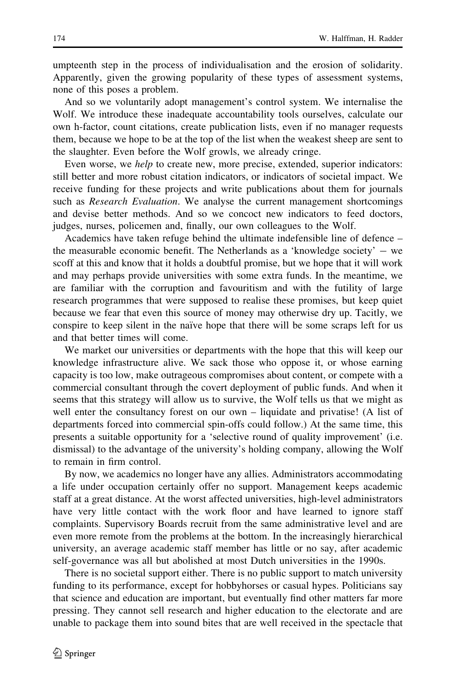umpteenth step in the process of individualisation and the erosion of solidarity. Apparently, given the growing popularity of these types of assessment systems, none of this poses a problem.

And so we voluntarily adopt management's control system. We internalise the Wolf. We introduce these inadequate accountability tools ourselves, calculate our own h-factor, count citations, create publication lists, even if no manager requests them, because we hope to be at the top of the list when the weakest sheep are sent to the slaughter. Even before the Wolf growls, we already cringe.

Even worse, we *help* to create new, more precise, extended, superior indicators: still better and more robust citation indicators, or indicators of societal impact. We receive funding for these projects and write publications about them for journals such as *Research Evaluation*. We analyse the current management shortcomings and devise better methods. And so we concoct new indicators to feed doctors, judges, nurses, policemen and, finally, our own colleagues to the Wolf.

Academics have taken refuge behind the ultimate indefensible line of defence – the measurable economic benefit. The Netherlands as a 'knowledge society'  $-$  we scoff at this and know that it holds a doubtful promise, but we hope that it will work and may perhaps provide universities with some extra funds. In the meantime, we are familiar with the corruption and favouritism and with the futility of large research programmes that were supposed to realise these promises, but keep quiet because we fear that even this source of money may otherwise dry up. Tacitly, we conspire to keep silent in the naïve hope that there will be some scraps left for us and that better times will come.

We market our universities or departments with the hope that this will keep our knowledge infrastructure alive. We sack those who oppose it, or whose earning capacity is too low, make outrageous compromises about content, or compete with a commercial consultant through the covert deployment of public funds. And when it seems that this strategy will allow us to survive, the Wolf tells us that we might as well enter the consultancy forest on our own – liquidate and privatise! (A list of departments forced into commercial spin-offs could follow.) At the same time, this presents a suitable opportunity for a 'selective round of quality improvement' (i.e. dismissal) to the advantage of the university's holding company, allowing the Wolf to remain in firm control.

By now, we academics no longer have any allies. Administrators accommodating a life under occupation certainly offer no support. Management keeps academic staff at a great distance. At the worst affected universities, high-level administrators have very little contact with the work floor and have learned to ignore staff complaints. Supervisory Boards recruit from the same administrative level and are even more remote from the problems at the bottom. In the increasingly hierarchical university, an average academic staff member has little or no say, after academic self-governance was all but abolished at most Dutch universities in the 1990s.

There is no societal support either. There is no public support to match university funding to its performance, except for hobbyhorses or casual hypes. Politicians say that science and education are important, but eventually find other matters far more pressing. They cannot sell research and higher education to the electorate and are unable to package them into sound bites that are well received in the spectacle that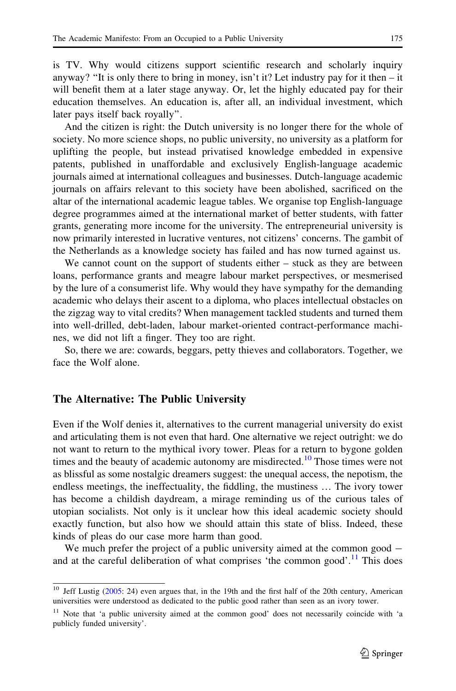is TV. Why would citizens support scientific research and scholarly inquiry anyway? "It is only there to bring in money, isn't it? Let industry pay for it then  $-$  it will benefit them at a later stage anyway. Or, let the highly educated pay for their education themselves. An education is, after all, an individual investment, which later pays itself back royally''.

And the citizen is right: the Dutch university is no longer there for the whole of society. No more science shops, no public university, no university as a platform for uplifting the people, but instead privatised knowledge embedded in expensive patents, published in unaffordable and exclusively English-language academic journals aimed at international colleagues and businesses. Dutch-language academic journals on affairs relevant to this society have been abolished, sacrificed on the altar of the international academic league tables. We organise top English-language degree programmes aimed at the international market of better students, with fatter grants, generating more income for the university. The entrepreneurial university is now primarily interested in lucrative ventures, not citizens' concerns. The gambit of the Netherlands as a knowledge society has failed and has now turned against us.

We cannot count on the support of students either – stuck as they are between loans, performance grants and meagre labour market perspectives, or mesmerised by the lure of a consumerist life. Why would they have sympathy for the demanding academic who delays their ascent to a diploma, who places intellectual obstacles on the zigzag way to vital credits? When management tackled students and turned them into well-drilled, debt-laden, labour market-oriented contract-performance machines, we did not lift a finger. They too are right.

So, there we are: cowards, beggars, petty thieves and collaborators. Together, we face the Wolf alone.

### The Alternative: The Public University

Even if the Wolf denies it, alternatives to the current managerial university do exist and articulating them is not even that hard. One alternative we reject outright: we do not want to return to the mythical ivory tower. Pleas for a return to bygone golden times and the beauty of academic autonomy are misdirected.<sup>10</sup> Those times were not as blissful as some nostalgic dreamers suggest: the unequal access, the nepotism, the endless meetings, the ineffectuality, the fiddling, the mustiness … The ivory tower has become a childish daydream, a mirage reminding us of the curious tales of utopian socialists. Not only is it unclear how this ideal academic society should exactly function, but also how we should attain this state of bliss. Indeed, these kinds of pleas do our case more harm than good.

We much prefer the project of a public university aimed at the common good  $$ and at the careful deliberation of what comprises 'the common good'.<sup>11</sup> This does

<sup>&</sup>lt;sup>10</sup> Jeff Lustig [\(2005](#page-21-0): 24) even argues that, in the 19th and the first half of the 20th century, American universities were understood as dedicated to the public good rather than seen as an ivory tower.

<sup>11</sup> Note that 'a public university aimed at the common good' does not necessarily coincide with 'a publicly funded university'.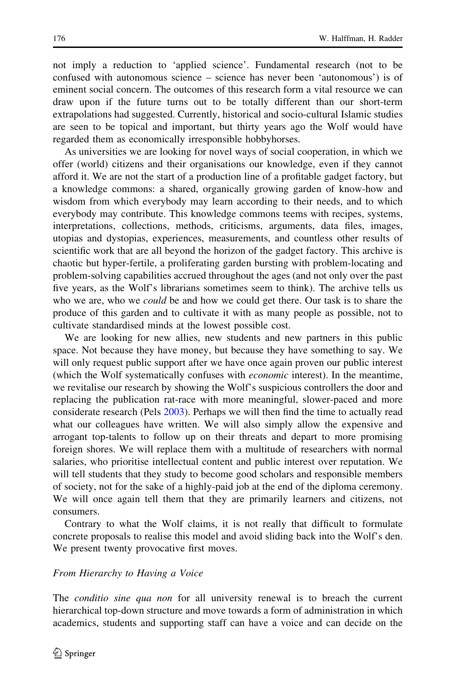not imply a reduction to 'applied science'. Fundamental research (not to be confused with autonomous science – science has never been 'autonomous') is of eminent social concern. The outcomes of this research form a vital resource we can draw upon if the future turns out to be totally different than our short-term extrapolations had suggested. Currently, historical and socio-cultural Islamic studies are seen to be topical and important, but thirty years ago the Wolf would have regarded them as economically irresponsible hobbyhorses.

As universities we are looking for novel ways of social cooperation, in which we offer (world) citizens and their organisations our knowledge, even if they cannot afford it. We are not the start of a production line of a profitable gadget factory, but a knowledge commons: a shared, organically growing garden of know-how and wisdom from which everybody may learn according to their needs, and to which everybody may contribute. This knowledge commons teems with recipes, systems, interpretations, collections, methods, criticisms, arguments, data files, images, utopias and dystopias, experiences, measurements, and countless other results of scientific work that are all beyond the horizon of the gadget factory. This archive is chaotic but hyper-fertile, a proliferating garden bursting with problem-locating and problem-solving capabilities accrued throughout the ages (and not only over the past five years, as the Wolf's librarians sometimes seem to think). The archive tells us who we are, who we *could* be and how we could get there. Our task is to share the produce of this garden and to cultivate it with as many people as possible, not to cultivate standardised minds at the lowest possible cost.

We are looking for new allies, new students and new partners in this public space. Not because they have money, but because they have something to say. We will only request public support after we have once again proven our public interest (which the Wolf systematically confuses with economic interest). In the meantime, we revitalise our research by showing the Wolf's suspicious controllers the door and replacing the publication rat-race with more meaningful, slower-paced and more considerate research (Pels [2003\)](#page-21-0). Perhaps we will then find the time to actually read what our colleagues have written. We will also simply allow the expensive and arrogant top-talents to follow up on their threats and depart to more promising foreign shores. We will replace them with a multitude of researchers with normal salaries, who prioritise intellectual content and public interest over reputation. We will tell students that they study to become good scholars and responsible members of society, not for the sake of a highly-paid job at the end of the diploma ceremony. We will once again tell them that they are primarily learners and citizens, not consumers.

Contrary to what the Wolf claims, it is not really that difficult to formulate concrete proposals to realise this model and avoid sliding back into the Wolf's den. We present twenty provocative first moves.

#### From Hierarchy to Having a Voice

The *conditio sine qua non* for all university renewal is to breach the current hierarchical top-down structure and move towards a form of administration in which academics, students and supporting staff can have a voice and can decide on the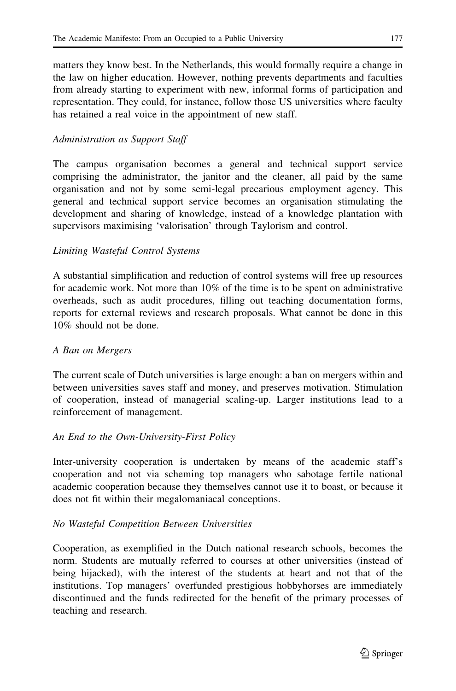matters they know best. In the Netherlands, this would formally require a change in the law on higher education. However, nothing prevents departments and faculties from already starting to experiment with new, informal forms of participation and representation. They could, for instance, follow those US universities where faculty has retained a real voice in the appointment of new staff.

# Administration as Support Staff

The campus organisation becomes a general and technical support service comprising the administrator, the janitor and the cleaner, all paid by the same organisation and not by some semi-legal precarious employment agency. This general and technical support service becomes an organisation stimulating the development and sharing of knowledge, instead of a knowledge plantation with supervisors maximising 'valorisation' through Taylorism and control.

### Limiting Wasteful Control Systems

A substantial simplification and reduction of control systems will free up resources for academic work. Not more than 10% of the time is to be spent on administrative overheads, such as audit procedures, filling out teaching documentation forms, reports for external reviews and research proposals. What cannot be done in this 10% should not be done.

### A Ban on Mergers

The current scale of Dutch universities is large enough: a ban on mergers within and between universities saves staff and money, and preserves motivation. Stimulation of cooperation, instead of managerial scaling-up. Larger institutions lead to a reinforcement of management.

# An End to the Own-University-First Policy

Inter-university cooperation is undertaken by means of the academic staff's cooperation and not via scheming top managers who sabotage fertile national academic cooperation because they themselves cannot use it to boast, or because it does not fit within their megalomaniacal conceptions.

### No Wasteful Competition Between Universities

Cooperation, as exemplified in the Dutch national research schools, becomes the norm. Students are mutually referred to courses at other universities (instead of being hijacked), with the interest of the students at heart and not that of the institutions. Top managers' overfunded prestigious hobbyhorses are immediately discontinued and the funds redirected for the benefit of the primary processes of teaching and research.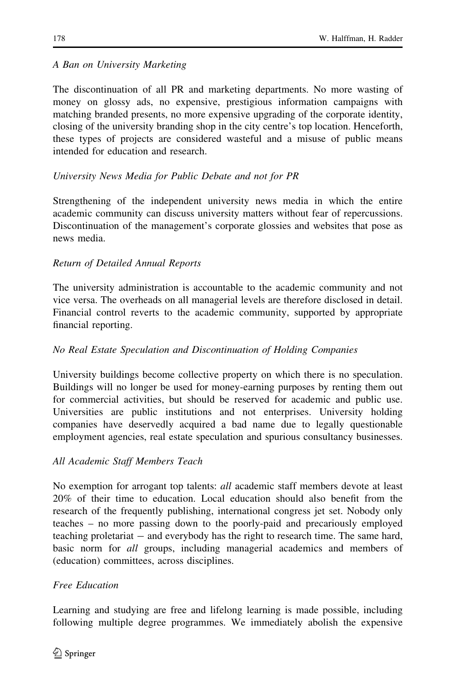# A Ban on University Marketing

The discontinuation of all PR and marketing departments. No more wasting of money on glossy ads, no expensive, prestigious information campaigns with matching branded presents, no more expensive upgrading of the corporate identity, closing of the university branding shop in the city centre's top location. Henceforth, these types of projects are considered wasteful and a misuse of public means intended for education and research.

# University News Media for Public Debate and not for PR

Strengthening of the independent university news media in which the entire academic community can discuss university matters without fear of repercussions. Discontinuation of the management's corporate glossies and websites that pose as news media.

# Return of Detailed Annual Reports

The university administration is accountable to the academic community and not vice versa. The overheads on all managerial levels are therefore disclosed in detail. Financial control reverts to the academic community, supported by appropriate financial reporting.

# No Real Estate Speculation and Discontinuation of Holding Companies

University buildings become collective property on which there is no speculation. Buildings will no longer be used for money-earning purposes by renting them out for commercial activities, but should be reserved for academic and public use. Universities are public institutions and not enterprises. University holding companies have deservedly acquired a bad name due to legally questionable employment agencies, real estate speculation and spurious consultancy businesses.

# All Academic Staff Members Teach

No exemption for arrogant top talents: all academic staff members devote at least 20% of their time to education. Local education should also benefit from the research of the frequently publishing, international congress jet set. Nobody only teaches – no more passing down to the poorly-paid and precariously employed teaching proletariat – and everybody has the right to research time. The same hard, basic norm for all groups, including managerial academics and members of (education) committees, across disciplines.

# Free Education

Learning and studying are free and lifelong learning is made possible, including following multiple degree programmes. We immediately abolish the expensive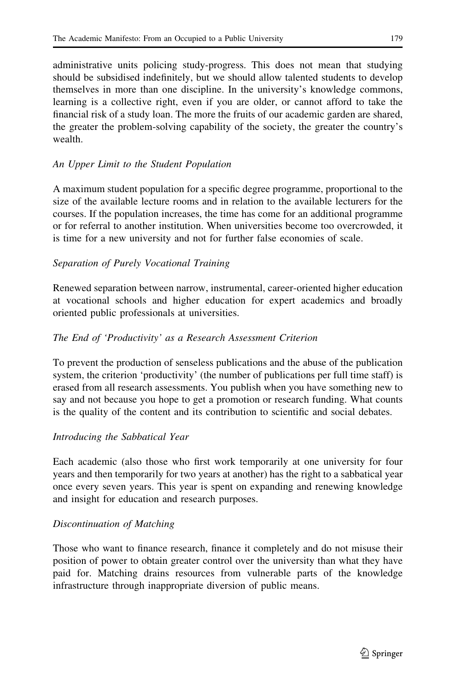administrative units policing study-progress. This does not mean that studying should be subsidised indefinitely, but we should allow talented students to develop themselves in more than one discipline. In the university's knowledge commons, learning is a collective right, even if you are older, or cannot afford to take the financial risk of a study loan. The more the fruits of our academic garden are shared, the greater the problem-solving capability of the society, the greater the country's wealth.

# An Upper Limit to the Student Population

A maximum student population for a specific degree programme, proportional to the size of the available lecture rooms and in relation to the available lecturers for the courses. If the population increases, the time has come for an additional programme or for referral to another institution. When universities become too overcrowded, it is time for a new university and not for further false economies of scale.

# Separation of Purely Vocational Training

Renewed separation between narrow, instrumental, career-oriented higher education at vocational schools and higher education for expert academics and broadly oriented public professionals at universities.

# The End of 'Productivity' as a Research Assessment Criterion

To prevent the production of senseless publications and the abuse of the publication system, the criterion 'productivity' (the number of publications per full time staff) is erased from all research assessments. You publish when you have something new to say and not because you hope to get a promotion or research funding. What counts is the quality of the content and its contribution to scientific and social debates.

# Introducing the Sabbatical Year

Each academic (also those who first work temporarily at one university for four years and then temporarily for two years at another) has the right to a sabbatical year once every seven years. This year is spent on expanding and renewing knowledge and insight for education and research purposes.

# Discontinuation of Matching

Those who want to finance research, finance it completely and do not misuse their position of power to obtain greater control over the university than what they have paid for. Matching drains resources from vulnerable parts of the knowledge infrastructure through inappropriate diversion of public means.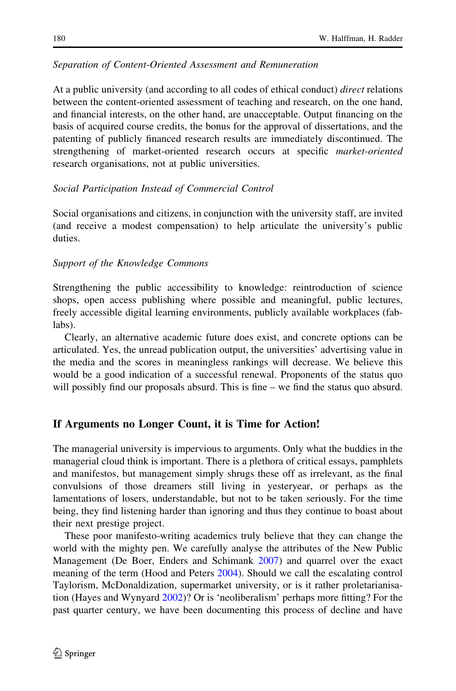### Separation of Content-Oriented Assessment and Remuneration

At a public university (and according to all codes of ethical conduct) *direct* relations between the content-oriented assessment of teaching and research, on the one hand, and financial interests, on the other hand, are unacceptable. Output financing on the basis of acquired course credits, the bonus for the approval of dissertations, and the patenting of publicly financed research results are immediately discontinued. The strengthening of market-oriented research occurs at specific market-oriented research organisations, not at public universities.

### Social Participation Instead of Commercial Control

Social organisations and citizens, in conjunction with the university staff, are invited (and receive a modest compensation) to help articulate the university's public duties.

#### Support of the Knowledge Commons

Strengthening the public accessibility to knowledge: reintroduction of science shops, open access publishing where possible and meaningful, public lectures, freely accessible digital learning environments, publicly available workplaces (fablabs).

Clearly, an alternative academic future does exist, and concrete options can be articulated. Yes, the unread publication output, the universities' advertising value in the media and the scores in meaningless rankings will decrease. We believe this would be a good indication of a successful renewal. Proponents of the status quo will possibly find our proposals absurd. This is fine – we find the status quo absurd.

### If Arguments no Longer Count, it is Time for Action!

The managerial university is impervious to arguments. Only what the buddies in the managerial cloud think is important. There is a plethora of critical essays, pamphlets and manifestos, but management simply shrugs these off as irrelevant, as the final convulsions of those dreamers still living in yesteryear, or perhaps as the lamentations of losers, understandable, but not to be taken seriously. For the time being, they find listening harder than ignoring and thus they continue to boast about their next prestige project.

These poor manifesto-writing academics truly believe that they can change the world with the mighty pen. We carefully analyse the attributes of the New Public Management (De Boer, Enders and Schimank [2007\)](#page-21-0) and quarrel over the exact meaning of the term (Hood and Peters [2004\)](#page-21-0). Should we call the escalating control Taylorism, McDonaldization, supermarket university, or is it rather proletarianisation (Hayes and Wynyard [2002](#page-21-0))? Or is 'neoliberalism' perhaps more fitting? For the past quarter century, we have been documenting this process of decline and have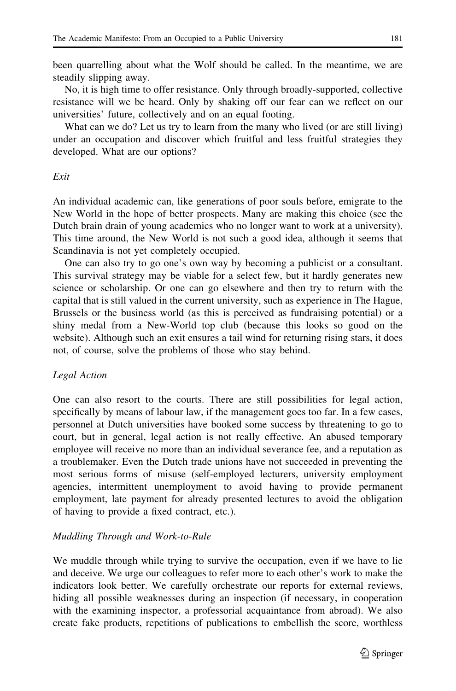been quarrelling about what the Wolf should be called. In the meantime, we are steadily slipping away.

No, it is high time to offer resistance. Only through broadly-supported, collective resistance will we be heard. Only by shaking off our fear can we reflect on our universities' future, collectively and on an equal footing.

What can we do? Let us try to learn from the many who lived (or are still living) under an occupation and discover which fruitful and less fruitful strategies they developed. What are our options?

### Exit

An individual academic can, like generations of poor souls before, emigrate to the New World in the hope of better prospects. Many are making this choice (see the Dutch brain drain of young academics who no longer want to work at a university). This time around, the New World is not such a good idea, although it seems that Scandinavia is not yet completely occupied.

One can also try to go one's own way by becoming a publicist or a consultant. This survival strategy may be viable for a select few, but it hardly generates new science or scholarship. Or one can go elsewhere and then try to return with the capital that is still valued in the current university, such as experience in The Hague, Brussels or the business world (as this is perceived as fundraising potential) or a shiny medal from a New-World top club (because this looks so good on the website). Although such an exit ensures a tail wind for returning rising stars, it does not, of course, solve the problems of those who stay behind.

### Legal Action

One can also resort to the courts. There are still possibilities for legal action, specifically by means of labour law, if the management goes too far. In a few cases, personnel at Dutch universities have booked some success by threatening to go to court, but in general, legal action is not really effective. An abused temporary employee will receive no more than an individual severance fee, and a reputation as a troublemaker. Even the Dutch trade unions have not succeeded in preventing the most serious forms of misuse (self-employed lecturers, university employment agencies, intermittent unemployment to avoid having to provide permanent employment, late payment for already presented lectures to avoid the obligation of having to provide a fixed contract, etc.).

#### Muddling Through and Work-to-Rule

We muddle through while trying to survive the occupation, even if we have to lie and deceive. We urge our colleagues to refer more to each other's work to make the indicators look better. We carefully orchestrate our reports for external reviews, hiding all possible weaknesses during an inspection (if necessary, in cooperation with the examining inspector, a professorial acquaintance from abroad). We also create fake products, repetitions of publications to embellish the score, worthless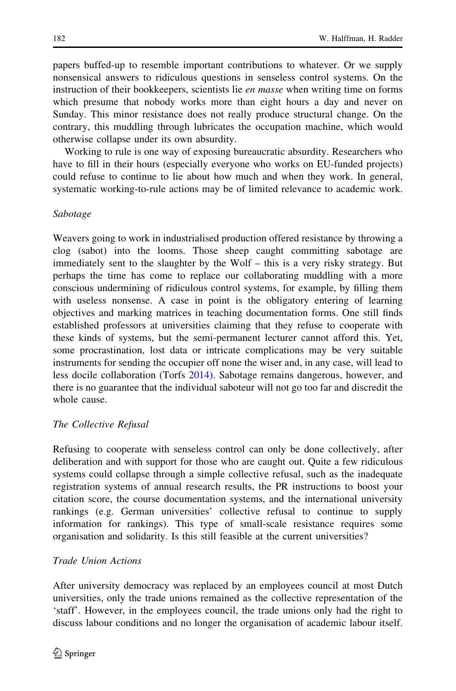papers buffed-up to resemble important contributions to whatever. Or we supply nonsensical answers to ridiculous questions in senseless control systems. On the instruction of their bookkeepers, scientists lie *en masse* when writing time on forms which presume that nobody works more than eight hours a day and never on Sunday. This minor resistance does not really produce structural change. On the contrary, this muddling through lubricates the occupation machine, which would otherwise collapse under its own absurdity.

Working to rule is one way of exposing bureaucratic absurdity. Researchers who have to fill in their hours (especially everyone who works on EU-funded projects) could refuse to continue to lie about how much and when they work. In general, systematic working-to-rule actions may be of limited relevance to academic work.

#### Sabotage

Weavers going to work in industrialised production offered resistance by throwing a clog (sabot) into the looms. Those sheep caught committing sabotage are immediately sent to the slaughter by the Wolf – this is a very risky strategy. But perhaps the time has come to replace our collaborating muddling with a more conscious undermining of ridiculous control systems, for example, by filling them with useless nonsense. A case in point is the obligatory entering of learning objectives and marking matrices in teaching documentation forms. One still finds established professors at universities claiming that they refuse to cooperate with these kinds of systems, but the semi-permanent lecturer cannot afford this. Yet, some procrastination, lost data or intricate complications may be very suitable instruments for sending the occupier off none the wiser and, in any case, will lead to less docile collaboration (Torfs [2014](#page-22-0)). Sabotage remains dangerous, however, and there is no guarantee that the individual saboteur will not go too far and discredit the whole cause.

#### The Collective Refusal

Refusing to cooperate with senseless control can only be done collectively, after deliberation and with support for those who are caught out. Quite a few ridiculous systems could collapse through a simple collective refusal, such as the inadequate registration systems of annual research results, the PR instructions to boost your citation score, the course documentation systems, and the international university rankings (e.g. German universities' collective refusal to continue to supply information for rankings). This type of small-scale resistance requires some organisation and solidarity. Is this still feasible at the current universities?

#### Trade Union Actions

After university democracy was replaced by an employees council at most Dutch universities, only the trade unions remained as the collective representation of the 'staff'. However, in the employees council, the trade unions only had the right to discuss labour conditions and no longer the organisation of academic labour itself.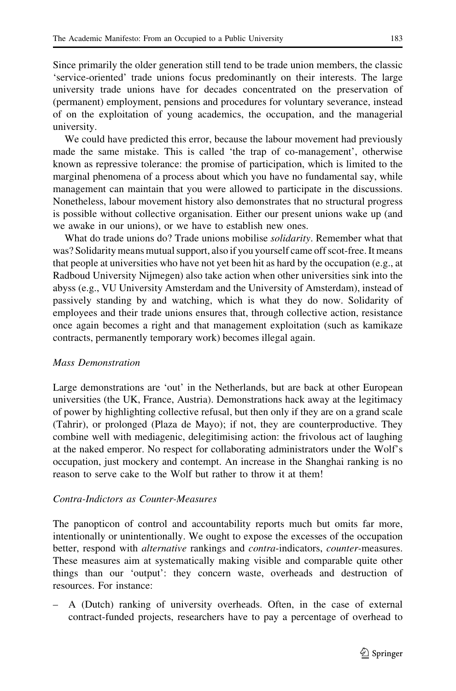Since primarily the older generation still tend to be trade union members, the classic 'service-oriented' trade unions focus predominantly on their interests. The large university trade unions have for decades concentrated on the preservation of (permanent) employment, pensions and procedures for voluntary severance, instead of on the exploitation of young academics, the occupation, and the managerial university.

We could have predicted this error, because the labour movement had previously made the same mistake. This is called 'the trap of co-management', otherwise known as repressive tolerance: the promise of participation, which is limited to the marginal phenomena of a process about which you have no fundamental say, while management can maintain that you were allowed to participate in the discussions. Nonetheless, labour movement history also demonstrates that no structural progress is possible without collective organisation. Either our present unions wake up (and we awake in our unions), or we have to establish new ones.

What do trade unions do? Trade unions mobilise *solidarity*. Remember what that was? Solidarity means mutual support, also if you yourself came off scot-free. It means that people at universities who have not yet been hit as hard by the occupation (e.g., at Radboud University Nijmegen) also take action when other universities sink into the abyss (e.g., VU University Amsterdam and the University of Amsterdam), instead of passively standing by and watching, which is what they do now. Solidarity of employees and their trade unions ensures that, through collective action, resistance once again becomes a right and that management exploitation (such as kamikaze contracts, permanently temporary work) becomes illegal again.

#### Mass Demonstration

Large demonstrations are 'out' in the Netherlands, but are back at other European universities (the UK, France, Austria). Demonstrations hack away at the legitimacy of power by highlighting collective refusal, but then only if they are on a grand scale (Tahrir), or prolonged (Plaza de Mayo); if not, they are counterproductive. They combine well with mediagenic, delegitimising action: the frivolous act of laughing at the naked emperor. No respect for collaborating administrators under the Wolf's occupation, just mockery and contempt. An increase in the Shanghai ranking is no reason to serve cake to the Wolf but rather to throw it at them!

### Contra-Indictors as Counter-Measures

The panopticon of control and accountability reports much but omits far more, intentionally or unintentionally. We ought to expose the excesses of the occupation better, respond with *alternative* rankings and *contra*-indicators, *counter*-measures. These measures aim at systematically making visible and comparable quite other things than our 'output': they concern waste, overheads and destruction of resources. For instance:

– A (Dutch) ranking of university overheads. Often, in the case of external contract-funded projects, researchers have to pay a percentage of overhead to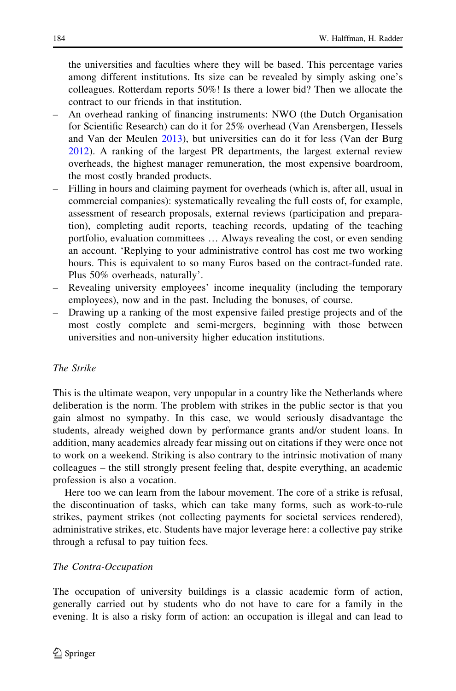the universities and faculties where they will be based. This percentage varies among different institutions. Its size can be revealed by simply asking one's colleagues. Rotterdam reports 50%! Is there a lower bid? Then we allocate the contract to our friends in that institution.

- An overhead ranking of financing instruments: NWO (the Dutch Organisation for Scientific Research) can do it for 25% overhead (Van Arensbergen, Hessels and Van der Meulen [2013\)](#page-22-0), but universities can do it for less (Van der Burg [2012\)](#page-22-0). A ranking of the largest PR departments, the largest external review overheads, the highest manager remuneration, the most expensive boardroom, the most costly branded products.
- Filling in hours and claiming payment for overheads (which is, after all, usual in commercial companies): systematically revealing the full costs of, for example, assessment of research proposals, external reviews (participation and preparation), completing audit reports, teaching records, updating of the teaching portfolio, evaluation committees … Always revealing the cost, or even sending an account. 'Replying to your administrative control has cost me two working hours. This is equivalent to so many Euros based on the contract-funded rate. Plus 50% overheads, naturally'.
- Revealing university employees' income inequality (including the temporary employees), now and in the past. Including the bonuses, of course.
- Drawing up a ranking of the most expensive failed prestige projects and of the most costly complete and semi-mergers, beginning with those between universities and non-university higher education institutions.

### The Strike

This is the ultimate weapon, very unpopular in a country like the Netherlands where deliberation is the norm. The problem with strikes in the public sector is that you gain almost no sympathy. In this case, we would seriously disadvantage the students, already weighed down by performance grants and/or student loans. In addition, many academics already fear missing out on citations if they were once not to work on a weekend. Striking is also contrary to the intrinsic motivation of many colleagues – the still strongly present feeling that, despite everything, an academic profession is also a vocation.

Here too we can learn from the labour movement. The core of a strike is refusal, the discontinuation of tasks, which can take many forms, such as work-to-rule strikes, payment strikes (not collecting payments for societal services rendered), administrative strikes, etc. Students have major leverage here: a collective pay strike through a refusal to pay tuition fees.

#### The Contra-Occupation

The occupation of university buildings is a classic academic form of action, generally carried out by students who do not have to care for a family in the evening. It is also a risky form of action: an occupation is illegal and can lead to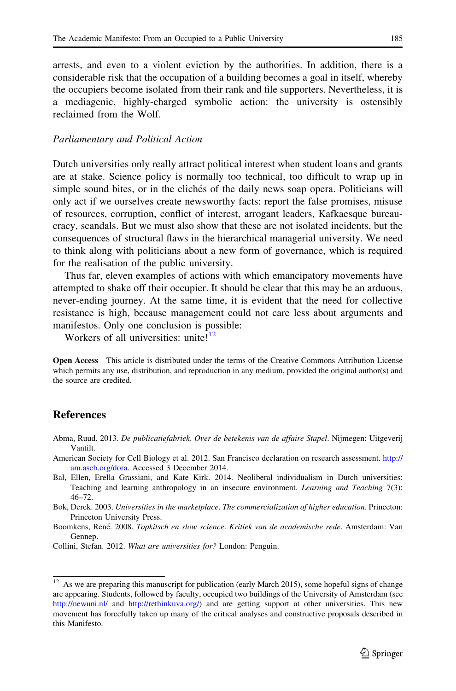<span id="page-20-0"></span>arrests, and even to a violent eviction by the authorities. In addition, there is a considerable risk that the occupation of a building becomes a goal in itself, whereby the occupiers become isolated from their rank and file supporters. Nevertheless, it is a mediagenic, highly-charged symbolic action: the university is ostensibly reclaimed from the Wolf.

#### Parliamentary and Political Action

Dutch universities only really attract political interest when student loans and grants are at stake. Science policy is normally too technical, too difficult to wrap up in simple sound bites, or in the cliches of the daily news soap opera. Politicians will only act if we ourselves create newsworthy facts: report the false promises, misuse of resources, corruption, conflict of interest, arrogant leaders, Kafkaesque bureaucracy, scandals. But we must also show that these are not isolated incidents, but the consequences of structural flaws in the hierarchical managerial university. We need to think along with politicians about a new form of governance, which is required for the realisation of the public university.

Thus far, eleven examples of actions with which emancipatory movements have attempted to shake off their occupier. It should be clear that this may be an arduous, never-ending journey. At the same time, it is evident that the need for collective resistance is high, because management could not care less about arguments and manifestos. Only one conclusion is possible:

Workers of all universities: unite! $12$ 

Open Access This article is distributed under the terms of the Creative Commons Attribution License which permits any use, distribution, and reproduction in any medium, provided the original author(s) and the source are credited.

### References

- Abma, Ruud. 2013. De publicatiefabriek. Over de betekenis van de affaire Stapel. Nijmegen: Uitgeverij Vantilt.
- American Society for Cell Biology et al. 2012. San Francisco declaration on research assessment. [http://](http://am.ascb.org/dora) [am.ascb.org/dora.](http://am.ascb.org/dora) Accessed 3 December 2014.
- Bal, Ellen, Erella Grassiani, and Kate Kirk. 2014. Neoliberal individualism in Dutch universities: Teaching and learning anthropology in an insecure environment. Learning and Teaching 7(3): 46–72.
- Bok, Derek. 2003. Universities in the marketplace. The commercialization of higher education. Princeton: Princeton University Press.

Boomkens, René. 2008. Topkitsch en slow science. Kritiek van de academische rede. Amsterdam: Van Gennep.

Collini, Stefan. 2012. What are universities for? London: Penguin.

 $12$  As we are preparing this manuscript for publication (early March 2015), some hopeful signs of change are appearing. Students, followed by faculty, occupied two buildings of the University of Amsterdam (see <http://newuni.nl/> and <http://rethinkuva.org/>) and are getting support at other universities. This new movement has forcefully taken up many of the critical analyses and constructive proposals described in this Manifesto.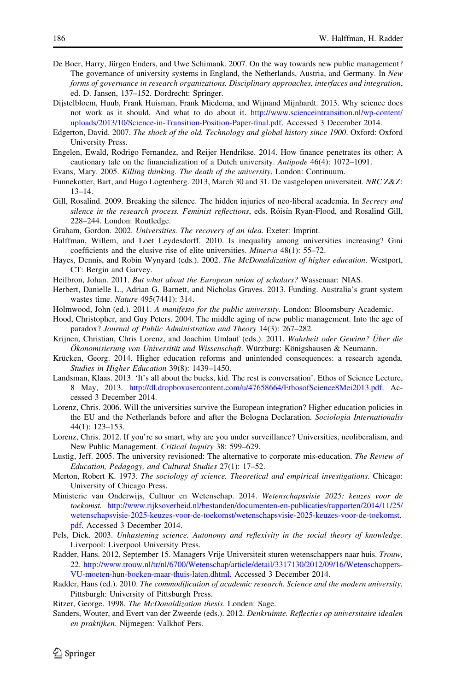- <span id="page-21-0"></span>De Boer, Harry, Jürgen Enders, and Uwe Schimank. 2007. On the way towards new public management? The governance of university systems in England, the Netherlands, Austria, and Germany. In New forms of governance in research organizations. Disciplinary approaches, interfaces and integration, ed. D. Jansen, 137–152. Dordrecht: Springer.
- Dijstelbloem, Huub, Frank Huisman, Frank Miedema, and Wijnand Mijnhardt. 2013. Why science does not work as it should. And what to do about it. [http://www.scienceintransition.nl/wp-content/](http://www.scienceintransition.nl/wp-content/uploads/2013/10/Science-in-Transition-Position-Paper-final.pdf) [uploads/2013/10/Science-in-Transition-Position-Paper-final.pdf](http://www.scienceintransition.nl/wp-content/uploads/2013/10/Science-in-Transition-Position-Paper-final.pdf). Accessed 3 December 2014.
- Edgerton, David. 2007. The shock of the old. Technology and global history since 1900. Oxford: Oxford University Press.
- Engelen, Ewald, Rodrigo Fernandez, and Reijer Hendrikse. 2014. How finance penetrates its other: A cautionary tale on the financialization of a Dutch university. Antipode 46(4): 1072–1091.
- Evans, Mary. 2005. Killing thinking. The death of the university. London: Continuum.
- Funnekotter, Bart, and Hugo Logtenberg. 2013, March 30 and 31. De vastgelopen universiteit. NRC Z&Z: 13–14.
- Gill, Rosalind. 2009. Breaking the silence. The hidden injuries of neo-liberal academia. In Secrecy and silence in the research process. Feminist reflections, eds. Róisín Ryan-Flood, and Rosalind Gill, 228–244. London: Routledge.
- Graham, Gordon. 2002. Universities. The recovery of an idea. Exeter: Imprint.
- Halffman, Willem, and Loet Leydesdorff. 2010. Is inequality among universities increasing? Gini coefficients and the elusive rise of elite universities. Minerva 48(1): 55–72.
- Hayes, Dennis, and Robin Wynyard (eds.). 2002. The McDonaldization of higher education. Westport, CT: Bergin and Garvey.
- Heilbron, Johan. 2011. But what about the European union of scholars? Wassenaar: NIAS.
- Herbert, Danielle L., Adrian G. Barnett, and Nicholas Graves. 2013. Funding. Australia's grant system wastes time. Nature 495(7441): 314.
- Holmwood, John (ed.). 2011. A manifesto for the public university. London: Bloomsbury Academic.
- Hood, Christopher, and Guy Peters. 2004. The middle aging of new public management. Into the age of paradox? Journal of Public Administration and Theory 14(3): 267–282.
- Krijnen, Christian, Chris Lorenz, and Joachim Umlauf (eds.). 2011. Wahrheit oder Gewinn? Über die Ökonomisierung von Universität und Wissenschaft. Würzburg: Königshausen & Neumann.
- Krücken, Georg. 2014. Higher education reforms and unintended consequences: a research agenda. Studies in Higher Education 39(8): 1439–1450.
- Landsman, Klaas. 2013. 'It's all about the bucks, kid. The rest is conversation'. Ethos of Science Lecture, 8 May, 2013. <http://dl.dropboxusercontent.com/u/47658664/EthosofScience8Mei2013.pdf>. Accessed 3 December 2014.
- Lorenz, Chris. 2006. Will the universities survive the European integration? Higher education policies in the EU and the Netherlands before and after the Bologna Declaration. Sociologia Internationalis 44(1): 123–153.
- Lorenz, Chris. 2012. If you're so smart, why are you under surveillance? Universities, neoliberalism, and New Public Management. Critical Inquiry 38: 599–629.
- Lustig, Jeff. 2005. The university revisioned: The alternative to corporate mis-education. The Review of Education, Pedagogy, and Cultural Studies 27(1): 17–52.
- Merton, Robert K. 1973. The sociology of science. Theoretical and empirical investigations. Chicago: University of Chicago Press.
- Ministerie van Onderwijs, Cultuur en Wetenschap. 2014. Wetenschapsvisie 2025: keuzes voor de toekomst. [http://www.rijksoverheid.nl/bestanden/documenten-en-publicaties/rapporten/2014/11/25/](http://www.rijksoverheid.nl/bestanden/documenten-en-publicaties/rapporten/2014/11/25/wetenschapsvisie-2025-keuzes-voor-de-toekomst/wetenschapsvisie-2025-keuzes-voor-de-toekomst.pdf) [wetenschapsvisie-2025-keuzes-voor-de-toekomst/wetenschapsvisie-2025-keuzes-voor-de-toekomst.](http://www.rijksoverheid.nl/bestanden/documenten-en-publicaties/rapporten/2014/11/25/wetenschapsvisie-2025-keuzes-voor-de-toekomst/wetenschapsvisie-2025-keuzes-voor-de-toekomst.pdf) [pdf.](http://www.rijksoverheid.nl/bestanden/documenten-en-publicaties/rapporten/2014/11/25/wetenschapsvisie-2025-keuzes-voor-de-toekomst/wetenschapsvisie-2025-keuzes-voor-de-toekomst.pdf) Accessed 3 December 2014.
- Pels, Dick. 2003. Unhastening science. Autonomy and reflexivity in the social theory of knowledge. Liverpool: Liverpool University Press.
- Radder, Hans. 2012, September 15. Managers Vrije Universiteit sturen wetenschappers naar huis. Trouw, 22. [http://www.trouw.nl/tr/nl/6700/Wetenschap/article/detail/3317130/2012/09/16/Wetenschappers-](http://www.trouw.nl/tr/nl/6700/Wetenschap/article/detail/3317130/2012/09/16/Wetenschappers-VU-moeten-hun-boeken-maar-thuis-laten.dhtml)[VU-moeten-hun-boeken-maar-thuis-laten.dhtml](http://www.trouw.nl/tr/nl/6700/Wetenschap/article/detail/3317130/2012/09/16/Wetenschappers-VU-moeten-hun-boeken-maar-thuis-laten.dhtml). Accessed 3 December 2014.
- Radder, Hans (ed.). 2010. The commodification of academic research. Science and the modern university. Pittsburgh: University of Pittsburgh Press.
- Ritzer, George. 1998. The McDonaldization thesis. Londen: Sage.
- Sanders, Wouter, and Evert van der Zweerde (eds.). 2012. Denkruimte. Reflecties op universitaire idealen en praktijken. Nijmegen: Valkhof Pers.